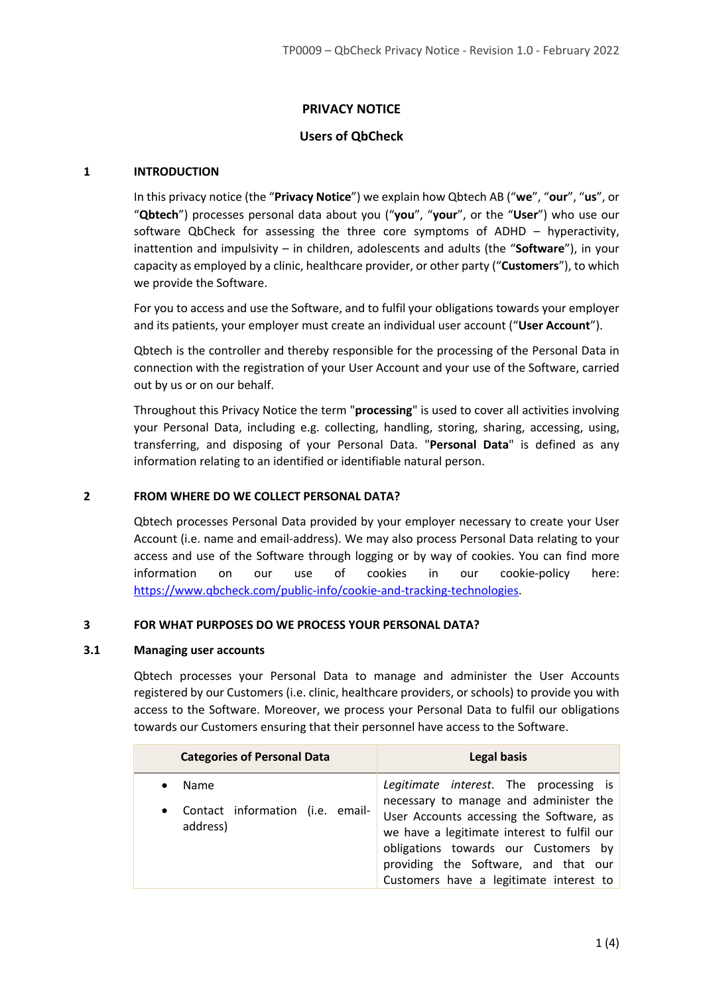# **PRIVACY NOTICE**

# **Users of QbCheck**

#### **1 INTRODUCTION**

In this privacy notice (the "**Privacy Notice**") we explain how Qbtech AB ("**we**", "**our**", "**us**", or "**Qbtech**") processes personal data about you ("**you**", "**your**", or the "**User**") who use our software QbCheck for assessing the three core symptoms of ADHD – hyperactivity, inattention and impulsivity – in children, adolescents and adults (the "**Software**"), in your capacity as employed by a clinic, healthcare provider, or other party ("**Customers**"), to which we provide the Software.

For you to access and use the Software, and to fulfil your obligations towards your employer and its patients, your employer must create an individual user account ("**User Account**").

Qbtech is the controller and thereby responsible for the processing of the Personal Data in connection with the registration of your User Account and your use of the Software, carried out by us or on our behalf.

Throughout this Privacy Notice the term "**processing**" is used to cover all activities involving your Personal Data, including e.g. collecting, handling, storing, sharing, accessing, using, transferring, and disposing of your Personal Data. "**Personal Data**" is defined as any information relating to an identified or identifiable natural person.

#### **2 FROM WHERE DO WE COLLECT PERSONAL DATA?**

Qbtech processes Personal Data provided by your employer necessary to create your User Account (i.e. name and email-address). We may also process Personal Data relating to your access and use of the Software through logging or by way of cookies. You can find more information on our use of cookies in our cookie-policy here: https://www.qbcheck.com/public-info/cookie-and-tracking-technologies.

#### **3 FOR WHAT PURPOSES DO WE PROCESS YOUR PERSONAL DATA?**

#### **3.1 Managing user accounts**

Qbtech processes your Personal Data to manage and administer the User Accounts registered by our Customers (i.e. clinic, healthcare providers, or schools) to provide you with access to the Software. Moreover, we process your Personal Data to fulfil our obligations towards our Customers ensuring that their personnel have access to the Software.

| <b>Categories of Personal Data</b>                                             | Legal basis                                                                                                                                                                                                                                                                                            |
|--------------------------------------------------------------------------------|--------------------------------------------------------------------------------------------------------------------------------------------------------------------------------------------------------------------------------------------------------------------------------------------------------|
| Name<br>$\bullet$<br>Contact information (i.e. email-<br>$\bullet$<br>address) | Legitimate interest. The processing is<br>necessary to manage and administer the<br>User Accounts accessing the Software, as<br>we have a legitimate interest to fulfil our<br>obligations towards our Customers by<br>providing the Software, and that our<br>Customers have a legitimate interest to |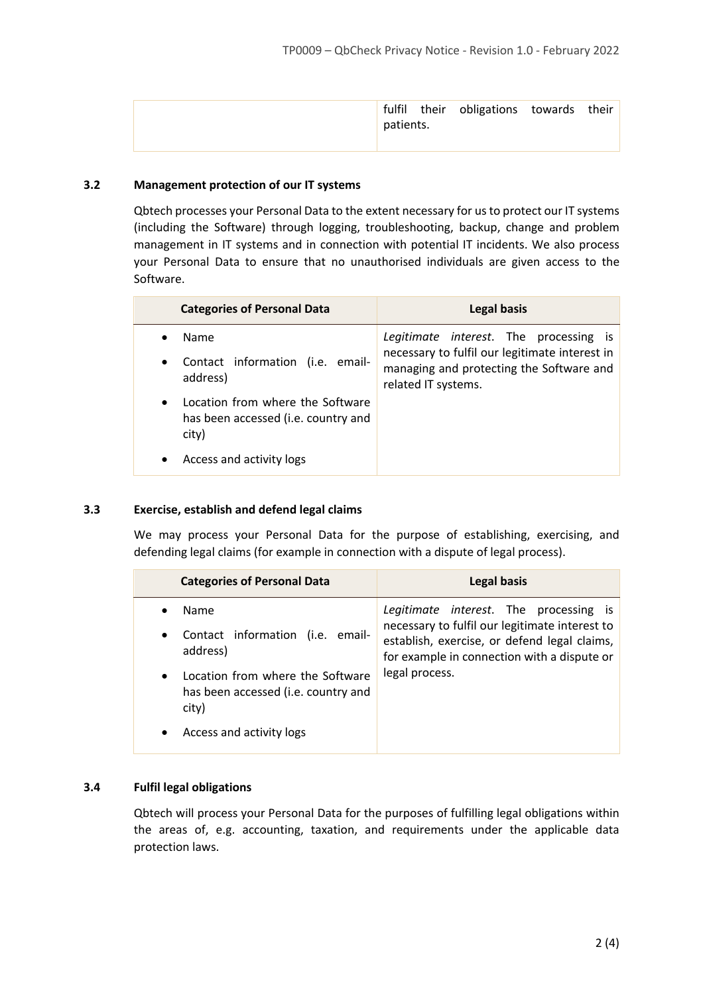|           | fulfil their obligations towards their |  |
|-----------|----------------------------------------|--|
| patients. |                                        |  |
|           |                                        |  |

## **3.2 Management protection of our IT systems**

Qbtech processes your Personal Data to the extent necessary for us to protect our IT systems (including the Software) through logging, troubleshooting, backup, change and problem management in IT systems and in connection with potential IT incidents. We also process your Personal Data to ensure that no unauthorised individuals are given access to the Software.

| <b>Categories of Personal Data</b>                                                            | <b>Legal basis</b>                                                                                                |
|-----------------------------------------------------------------------------------------------|-------------------------------------------------------------------------------------------------------------------|
| <b>Name</b>                                                                                   | Legitimate interest. The processing is                                                                            |
| Contact information (i.e. email-<br>$\bullet$<br>address)                                     | necessary to fulfil our legitimate interest in<br>managing and protecting the Software and<br>related IT systems. |
| Location from where the Software<br>$\bullet$<br>has been accessed (i.e. country and<br>city) |                                                                                                                   |
| Access and activity logs                                                                      |                                                                                                                   |

## **3.3 Exercise, establish and defend legal claims**

We may process your Personal Data for the purpose of establishing, exercising, and defending legal claims (for example in connection with a dispute of legal process).

| <b>Categories of Personal Data</b>                                                            | <b>Legal basis</b>                                                                                                                                                                      |
|-----------------------------------------------------------------------------------------------|-----------------------------------------------------------------------------------------------------------------------------------------------------------------------------------------|
| Name<br>Contact information (i.e. email-<br>$\bullet$<br>address)                             | Legitimate interest. The processing is<br>necessary to fulfil our legitimate interest to<br>establish, exercise, or defend legal claims,<br>for example in connection with a dispute or |
| Location from where the Software<br>$\bullet$<br>has been accessed (i.e. country and<br>city) | legal process.                                                                                                                                                                          |
| Access and activity logs<br>$\bullet$                                                         |                                                                                                                                                                                         |

## **3.4 Fulfil legal obligations**

Qbtech will process your Personal Data for the purposes of fulfilling legal obligations within the areas of, e.g. accounting, taxation, and requirements under the applicable data protection laws.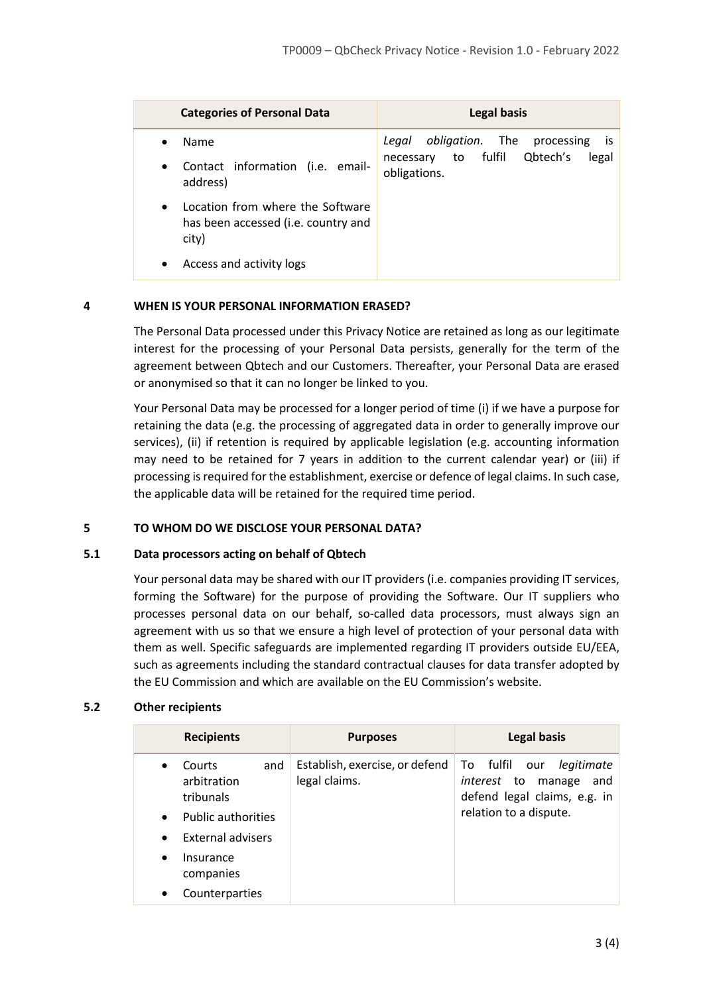| <b>Categories of Personal Data</b>                                                            | <b>Legal basis</b>                                             |
|-----------------------------------------------------------------------------------------------|----------------------------------------------------------------|
| Name                                                                                          | obligation. The processing<br>Legal<br>is.                     |
| Contact information (i.e. email-<br>$\bullet$<br>address)                                     | Qbtech's<br>fulfil<br>legal<br>to<br>necessary<br>obligations. |
| Location from where the Software<br>$\bullet$<br>has been accessed (i.e. country and<br>city) |                                                                |
| Access and activity logs<br>٠                                                                 |                                                                |

## **4 WHEN IS YOUR PERSONAL INFORMATION ERASED?**

The Personal Data processed under this Privacy Notice are retained as long as our legitimate interest for the processing of your Personal Data persists, generally for the term of the agreement between Qbtech and our Customers. Thereafter, your Personal Data are erased or anonymised so that it can no longer be linked to you.

Your Personal Data may be processed for a longer period of time (i) if we have a purpose for retaining the data (e.g. the processing of aggregated data in order to generally improve our services), (ii) if retention is required by applicable legislation (e.g. accounting information may need to be retained for 7 years in addition to the current calendar year) or (iii) if processing is required for the establishment, exercise or defence of legal claims. In such case, the applicable data will be retained for the required time period.

## **5 TO WHOM DO WE DISCLOSE YOUR PERSONAL DATA?**

## **5.1 Data processors acting on behalf of Qbtech**

Your personal data may be shared with our IT providers (i.e. companies providing IT services, forming the Software) for the purpose of providing the Software. Our IT suppliers who processes personal data on our behalf, so-called data processors, must always sign an agreement with us so that we ensure a high level of protection of your personal data with them as well. Specific safeguards are implemented regarding IT providers outside EU/EEA, such as agreements including the standard contractual clauses for data transfer adopted by the EU Commission and which are available on the EU Commission's website.

## **5.2 Other recipients**

| <b>Recipients</b>                                                                                                                                                   | <b>Purposes</b>                                 | <b>Legal basis</b>                                                                                                              |
|---------------------------------------------------------------------------------------------------------------------------------------------------------------------|-------------------------------------------------|---------------------------------------------------------------------------------------------------------------------------------|
| and<br><b>Courts</b><br>$\bullet$<br>arbitration<br>tribunals<br><b>Public authorities</b><br>$\bullet$<br>External advisers<br>$\bullet$<br>Insurance<br>$\bullet$ | Establish, exercise, or defend<br>legal claims. | To fulfil<br>legitimate<br>our<br>manage<br><i>interest</i> to<br>and<br>defend legal claims, e.g. in<br>relation to a dispute. |
| companies                                                                                                                                                           |                                                 |                                                                                                                                 |
| Counterparties<br>٠                                                                                                                                                 |                                                 |                                                                                                                                 |